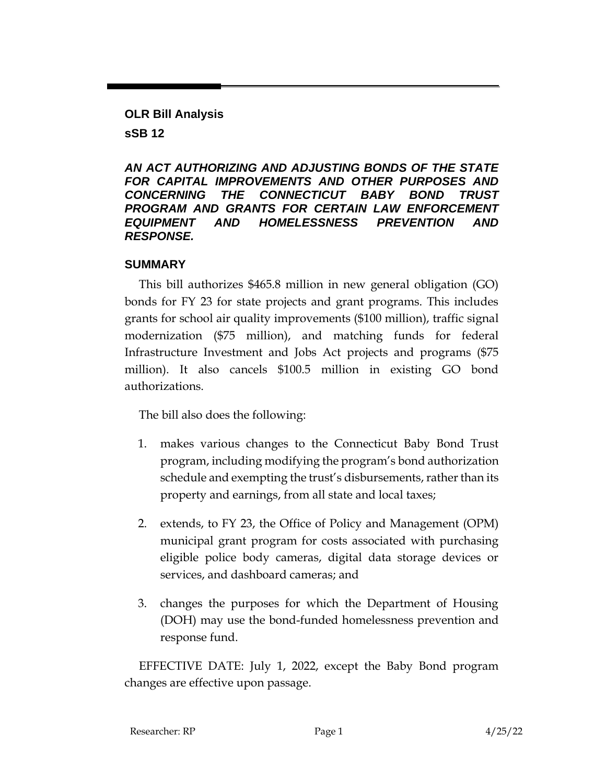**OLR Bill Analysis**

**sSB 12**

*AN ACT AUTHORIZING AND ADJUSTING BONDS OF THE STATE FOR CAPITAL IMPROVEMENTS AND OTHER PURPOSES AND CONCERNING THE CONNECTICUT BABY BOND TRUST PROGRAM AND GRANTS FOR CERTAIN LAW ENFORCEMENT EQUIPMENT AND HOMELESSNESS PREVENTION AND RESPONSE.*

### **SUMMARY**

This bill authorizes \$465.8 million in new general obligation (GO) bonds for FY 23 for state projects and grant programs. This includes grants for school air quality improvements (\$100 million), traffic signal modernization (\$75 million), and matching funds for federal Infrastructure Investment and Jobs Act projects and programs (\$75 million). It also cancels \$100.5 million in existing GO bond authorizations.

The bill also does the following:

- 1. makes various changes to the Connecticut Baby Bond Trust program, including modifying the program's bond authorization schedule and exempting the trust's disbursements, rather than its property and earnings, from all state and local taxes;
- 2. extends, to FY 23, the Office of Policy and Management (OPM) municipal grant program for costs associated with purchasing eligible police body cameras, digital data storage devices or services, and dashboard cameras; and
- 3. changes the purposes for which the Department of Housing (DOH) may use the bond-funded homelessness prevention and response fund.

EFFECTIVE DATE: July 1, 2022, except the Baby Bond program changes are effective upon passage.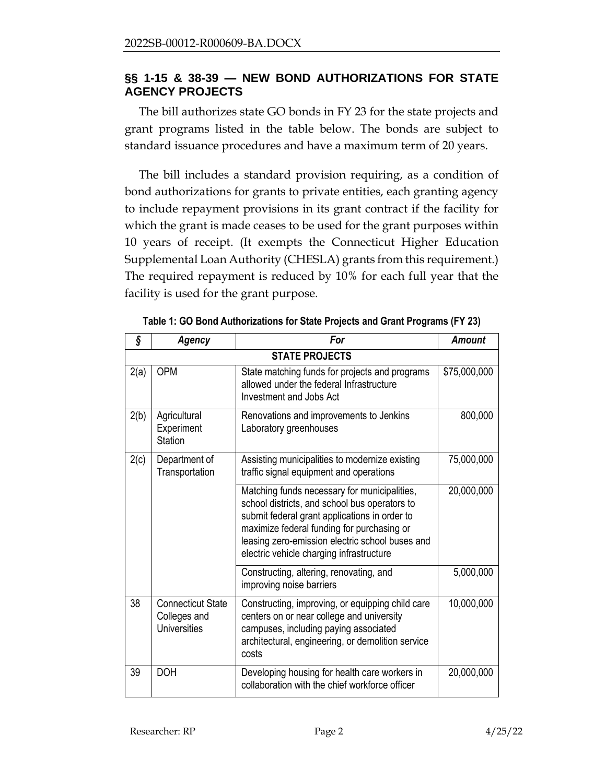### **§§ 1-15 & 38-39 — NEW BOND AUTHORIZATIONS FOR STATE AGENCY PROJECTS**

The bill authorizes state GO bonds in FY 23 for the state projects and grant programs listed in the table below. The bonds are subject to standard issuance procedures and have a maximum term of 20 years.

The bill includes a standard provision requiring, as a condition of bond authorizations for grants to private entities, each granting agency to include repayment provisions in its grant contract if the facility for which the grant is made ceases to be used for the grant purposes within 10 years of receipt. (It exempts the Connecticut Higher Education Supplemental Loan Authority (CHESLA) grants from this requirement.) The required repayment is reduced by 10% for each full year that the facility is used for the grant purpose.

| ş    | <b>Agency</b>                                                   | For                                                                                                                                                                                                                                                                                         | <b>Amount</b> |  |  |
|------|-----------------------------------------------------------------|---------------------------------------------------------------------------------------------------------------------------------------------------------------------------------------------------------------------------------------------------------------------------------------------|---------------|--|--|
|      | <b>STATE PROJECTS</b>                                           |                                                                                                                                                                                                                                                                                             |               |  |  |
| 2(a) | <b>OPM</b>                                                      | State matching funds for projects and programs<br>allowed under the federal Infrastructure<br>Investment and Jobs Act                                                                                                                                                                       | \$75,000,000  |  |  |
| 2(b) | Agricultural<br>Experiment<br><b>Station</b>                    | Renovations and improvements to Jenkins<br>Laboratory greenhouses                                                                                                                                                                                                                           | 800,000       |  |  |
| 2(c) | Department of<br>Transportation                                 | Assisting municipalities to modernize existing<br>traffic signal equipment and operations                                                                                                                                                                                                   | 75,000,000    |  |  |
|      |                                                                 | Matching funds necessary for municipalities,<br>school districts, and school bus operators to<br>submit federal grant applications in order to<br>maximize federal funding for purchasing or<br>leasing zero-emission electric school buses and<br>electric vehicle charging infrastructure | 20,000,000    |  |  |
|      |                                                                 | Constructing, altering, renovating, and<br>improving noise barriers                                                                                                                                                                                                                         | 5,000,000     |  |  |
| 38   | <b>Connecticut State</b><br>Colleges and<br><b>Universities</b> | Constructing, improving, or equipping child care<br>centers on or near college and university<br>campuses, including paying associated<br>architectural, engineering, or demolition service<br>costs                                                                                        | 10,000,000    |  |  |
| 39   | <b>DOH</b>                                                      | Developing housing for health care workers in<br>collaboration with the chief workforce officer                                                                                                                                                                                             | 20,000,000    |  |  |

**Table 1: GO Bond Authorizations for State Projects and Grant Programs (FY 23)**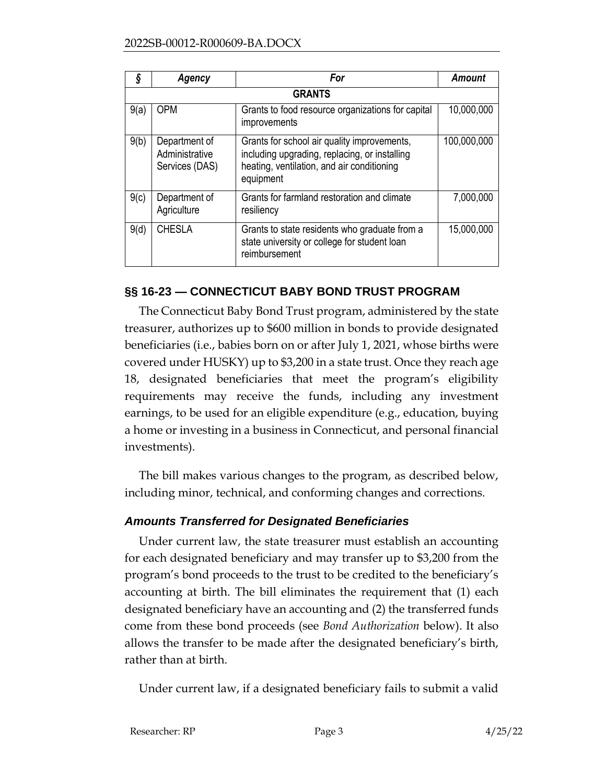| Ş    | Agency                                            | For                                                                                                                                                     | <b>Amount</b> |  |  |
|------|---------------------------------------------------|---------------------------------------------------------------------------------------------------------------------------------------------------------|---------------|--|--|
|      | <b>GRANTS</b>                                     |                                                                                                                                                         |               |  |  |
| 9(a) | <b>OPM</b>                                        | Grants to food resource organizations for capital<br>improvements                                                                                       | 10,000,000    |  |  |
| 9(b) | Department of<br>Administrative<br>Services (DAS) | Grants for school air quality improvements,<br>including upgrading, replacing, or installing<br>heating, ventilation, and air conditioning<br>equipment | 100,000,000   |  |  |
| 9(c) | Department of<br>Agriculture                      | Grants for farmland restoration and climate<br>resiliency                                                                                               | 7,000,000     |  |  |
| 9(d) | <b>CHESLA</b>                                     | Grants to state residents who graduate from a<br>state university or college for student loan<br>reimbursement                                          | 15,000,000    |  |  |

### **§§ 16-23 — CONNECTICUT BABY BOND TRUST PROGRAM**

The Connecticut Baby Bond Trust program, administered by the state treasurer, authorizes up to \$600 million in bonds to provide designated beneficiaries (i.e., babies born on or after July 1, 2021, whose births were covered under HUSKY) up to \$3,200 in a state trust. Once they reach age 18, designated beneficiaries that meet the program's eligibility requirements may receive the funds, including any investment earnings, to be used for an eligible expenditure (e.g., education, buying a home or investing in a business in Connecticut, and personal financial investments).

The bill makes various changes to the program, as described below, including minor, technical, and conforming changes and corrections.

### *Amounts Transferred for Designated Beneficiaries*

Under current law, the state treasurer must establish an accounting for each designated beneficiary and may transfer up to \$3,200 from the program's bond proceeds to the trust to be credited to the beneficiary's accounting at birth. The bill eliminates the requirement that (1) each designated beneficiary have an accounting and (2) the transferred funds come from these bond proceeds (see *Bond Authorization* below). It also allows the transfer to be made after the designated beneficiary's birth, rather than at birth.

Under current law, if a designated beneficiary fails to submit a valid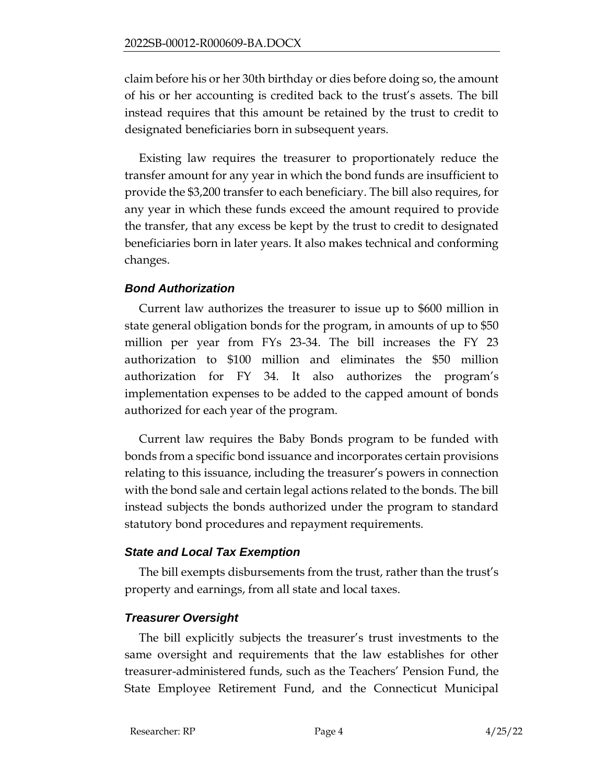claim before his or her 30th birthday or dies before doing so, the amount of his or her accounting is credited back to the trust's assets. The bill instead requires that this amount be retained by the trust to credit to designated beneficiaries born in subsequent years.

Existing law requires the treasurer to proportionately reduce the transfer amount for any year in which the bond funds are insufficient to provide the \$3,200 transfer to each beneficiary. The bill also requires, for any year in which these funds exceed the amount required to provide the transfer, that any excess be kept by the trust to credit to designated beneficiaries born in later years. It also makes technical and conforming changes.

### *Bond Authorization*

Current law authorizes the treasurer to issue up to \$600 million in state general obligation bonds for the program, in amounts of up to \$50 million per year from FYs 23-34. The bill increases the FY 23 authorization to \$100 million and eliminates the \$50 million authorization for FY 34. It also authorizes the program's implementation expenses to be added to the capped amount of bonds authorized for each year of the program.

Current law requires the Baby Bonds program to be funded with bonds from a specific bond issuance and incorporates certain provisions relating to this issuance, including the treasurer's powers in connection with the bond sale and certain legal actions related to the bonds. The bill instead subjects the bonds authorized under the program to standard statutory bond procedures and repayment requirements.

### *State and Local Tax Exemption*

The bill exempts disbursements from the trust, rather than the trust's property and earnings, from all state and local taxes.

### *Treasurer Oversight*

The bill explicitly subjects the treasurer's trust investments to the same oversight and requirements that the law establishes for other treasurer-administered funds, such as the Teachers' Pension Fund, the State Employee Retirement Fund, and the Connecticut Municipal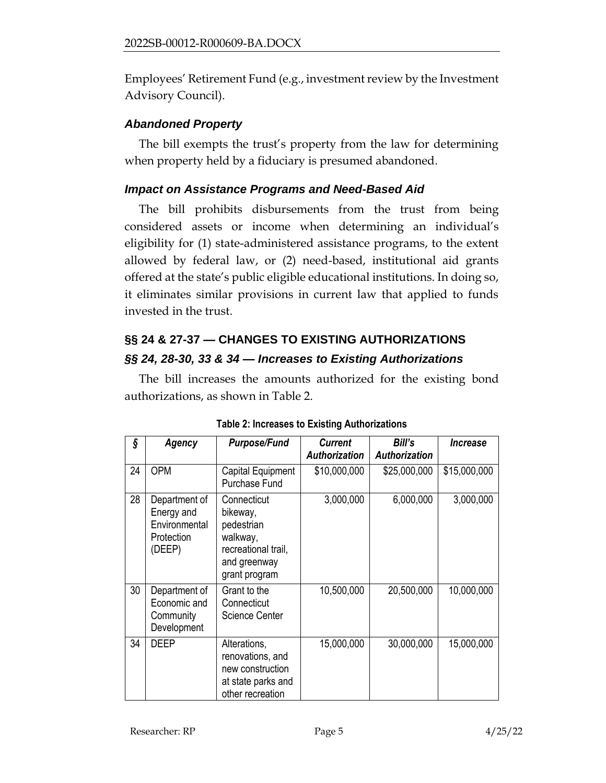Employees' Retirement Fund (e.g., investment review by the Investment Advisory Council).

# *Abandoned Property*

The bill exempts the trust's property from the law for determining when property held by a fiduciary is presumed abandoned.

# *Impact on Assistance Programs and Need-Based Aid*

The bill prohibits disbursements from the trust from being considered assets or income when determining an individual's eligibility for (1) state-administered assistance programs, to the extent allowed by federal law, or (2) need-based, institutional aid grants offered at the state's public eligible educational institutions. In doing so, it eliminates similar provisions in current law that applied to funds invested in the trust.

# **§§ 24 & 27-37 — CHANGES TO EXISTING AUTHORIZATIONS** *§§ 24, 28-30, 33 & 34 — Increases to Existing Authorizations*

The bill increases the amounts authorized for the existing bond authorizations, as shown in Table 2.

| ş  | Agency                                                               | Purpose/Fund                                                                                              | <b>Current</b>       | Bill's               | <b>Increase</b> |
|----|----------------------------------------------------------------------|-----------------------------------------------------------------------------------------------------------|----------------------|----------------------|-----------------|
|    |                                                                      |                                                                                                           | <b>Authorization</b> | <b>Authorization</b> |                 |
| 24 | <b>OPM</b>                                                           | Capital Equipment<br><b>Purchase Fund</b>                                                                 | \$10,000,000         | \$25,000,000         | \$15,000,000    |
| 28 | Department of<br>Energy and<br>Environmental<br>Protection<br>(DEEP) | Connecticut<br>bikeway,<br>pedestrian<br>walkway,<br>recreational trail,<br>and greenway<br>grant program | 3,000,000            | 6,000,000            | 3,000,000       |
| 30 | Department of<br>Economic and<br>Community<br>Development            | Grant to the<br>Connecticut<br><b>Science Center</b>                                                      | 10,500,000           | 20,500,000           | 10,000,000      |
| 34 | <b>DEEP</b>                                                          | Alterations,<br>renovations, and<br>new construction<br>at state parks and<br>other recreation            | 15,000,000           | 30,000,000           | 15,000,000      |

|  | <b>Table 2: Increases to Existing Authorizations</b> |
|--|------------------------------------------------------|
|--|------------------------------------------------------|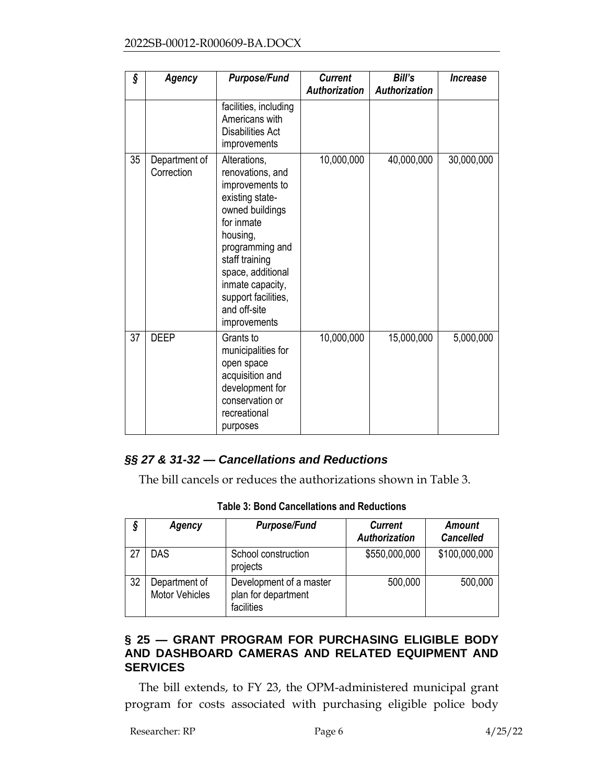#### 2022SB-00012-R000609-BA.DOCX

| ş  | Agency                      | <b>Purpose/Fund</b>                                                                                                                                                                                                                                      | <b>Current</b><br><b>Authorization</b> | Bill's<br><b>Authorization</b> | Increase   |
|----|-----------------------------|----------------------------------------------------------------------------------------------------------------------------------------------------------------------------------------------------------------------------------------------------------|----------------------------------------|--------------------------------|------------|
|    |                             | facilities, including<br>Americans with<br><b>Disabilities Act</b><br>improvements                                                                                                                                                                       |                                        |                                |            |
| 35 | Department of<br>Correction | Alterations,<br>renovations, and<br>improvements to<br>existing state-<br>owned buildings<br>for inmate<br>housing,<br>programming and<br>staff training<br>space, additional<br>inmate capacity,<br>support facilities,<br>and off-site<br>improvements | 10,000,000                             | 40,000,000                     | 30,000,000 |
| 37 | <b>DEEP</b>                 | Grants to<br>municipalities for<br>open space<br>acquisition and<br>development for<br>conservation or<br>recreational<br>purposes                                                                                                                       | 10,000,000                             | 15,000,000                     | 5,000,000  |

### *§§ 27 & 31-32 — Cancellations and Reductions*

The bill cancels or reduces the authorizations shown in Table 3.

|  |  | <b>Table 3: Bond Cancellations and Reductions</b> |
|--|--|---------------------------------------------------|
|--|--|---------------------------------------------------|

| 9  | Agency                                 | <b>Purpose/Fund</b>                                          | <b>Current</b><br><b>Authorization</b> | <b>Amount</b><br><b>Cancelled</b> |
|----|----------------------------------------|--------------------------------------------------------------|----------------------------------------|-----------------------------------|
| 27 | <b>DAS</b>                             | School construction<br>projects                              | \$550,000,000                          | \$100,000,000                     |
| 32 | Department of<br><b>Motor Vehicles</b> | Development of a master<br>plan for department<br>facilities | 500,000                                | 500,000                           |

### **§ 25 — GRANT PROGRAM FOR PURCHASING ELIGIBLE BODY AND DASHBOARD CAMERAS AND RELATED EQUIPMENT AND SERVICES**

The bill extends, to FY 23, the OPM-administered municipal grant program for costs associated with purchasing eligible police body